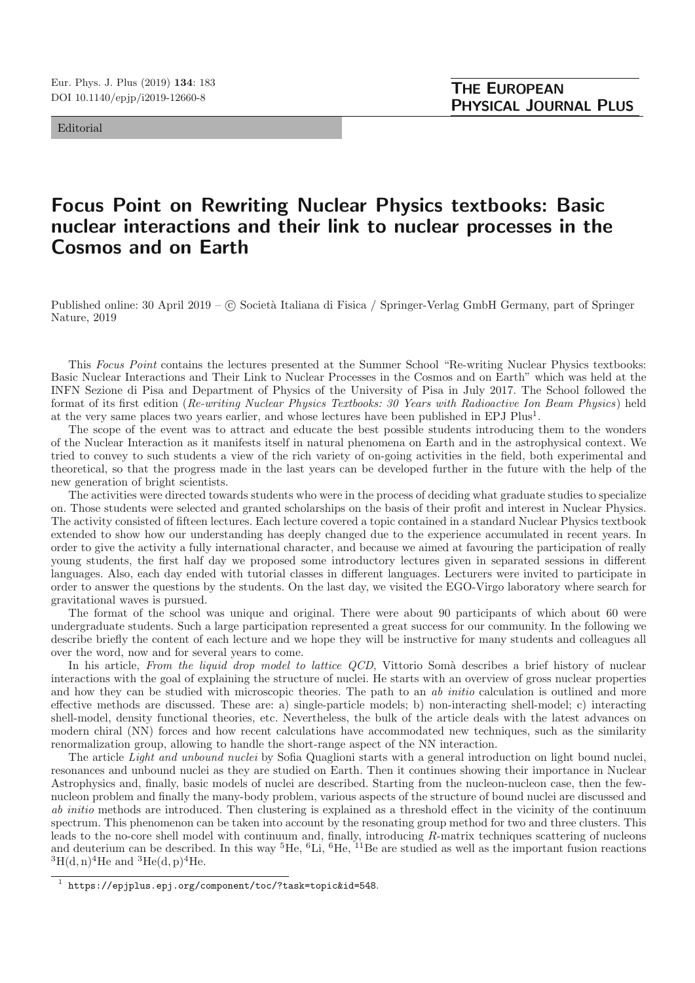Editorial

## **Focus Point on Rewriting Nuclear Physics textbooks: Basic nuclear interactions and their link to nuclear processes in the Cosmos and on Earth**

Published online: 30 April 2019 – © Società Italiana di Fisica / Springer-Verlag GmbH Germany, part of Springer Nature, 2019

This Focus Point contains the lectures presented at the Summer School "Re-writing Nuclear Physics textbooks: Basic Nuclear Interactions and Their Link to Nuclear Processes in the Cosmos and on Earth" which was held at the INFN Sezione di Pisa and Department of Physics of the University of Pisa in July 2017. The School followed the format of its first edition (Re-writing Nuclear Physics Textbooks: 30 Years with Radioactive Ion Beam Physics) held at the very same places two years earlier, and whose lectures have been published in  $EPI$  Plus<sup>1</sup>.

The scope of the event was to attract and educate the best possible students introducing them to the wonders of the Nuclear Interaction as it manifests itself in natural phenomena on Earth and in the astrophysical context. We tried to convey to such students a view of the rich variety of on-going activities in the field, both experimental and theoretical, so that the progress made in the last years can be developed further in the future with the help of the new generation of bright scientists.

The activities were directed towards students who were in the process of deciding what graduate studies to specialize on. Those students were selected and granted scholarships on the basis of their profit and interest in Nuclear Physics. The activity consisted of fifteen lectures. Each lecture covered a topic contained in a standard Nuclear Physics textbook extended to show how our understanding has deeply changed due to the experience accumulated in recent years. In order to give the activity a fully international character, and because we aimed at favouring the participation of really young students, the first half day we proposed some introductory lectures given in separated sessions in different languages. Also, each day ended with tutorial classes in different languages. Lecturers were invited to participate in order to answer the questions by the students. On the last day, we visited the EGO-Virgo laboratory where search for gravitational waves is pursued.

The format of the school was unique and original. There were about 90 participants of which about 60 were undergraduate students. Such a large participation represented a great success for our community. In the following we describe briefly the content of each lecture and we hope they will be instructive for many students and colleagues all over the word, now and for several years to come.

In his article, From the liquid drop model to lattice QCD, Vittorio Somà describes a brief history of nuclear interactions with the goal of explaining the structure of nuclei. He starts with an overview of gross nuclear properties and how they can be studied with microscopic theories. The path to an ab initio calculation is outlined and more effective methods are discussed. These are: a) single-particle models; b) non-interacting shell-model; c) interacting shell-model, density functional theories, etc. Nevertheless, the bulk of the article deals with the latest advances on modern chiral (NN) forces and how recent calculations have accommodated new techniques, such as the similarity renormalization group, allowing to handle the short-range aspect of the NN interaction.

The article Light and unbound nuclei by Sofia Quaglioni starts with a general introduction on light bound nuclei, resonances and unbound nuclei as they are studied on Earth. Then it continues showing their importance in Nuclear Astrophysics and, finally, basic models of nuclei are described. Starting from the nucleon-nucleon case, then the fewnucleon problem and finally the many-body problem, various aspects of the structure of bound nuclei are discussed and ab initio methods are introduced. Then clustering is explained as a threshold effect in the vicinity of the continuum spectrum. This phenomenon can be taken into account by the resonating group method for two and three clusters. This leads to the no-core shell model with continuum and, finally, introducing R-matrix techniques scattering of nucleons and deuterium can be described. In this way  ${}^{5}$ He,  ${}^{6}$ Li,  ${}^{6}$ He,  ${}^{11}$ Be are studied as well as the important fusion reactions  ${}^{3}H(d, n)$ <sup>4</sup>He and  ${}^{3}He(d, p)$ <sup>4</sup>He.

 $1$  https://epjplus.epj.org/component/toc/?task=topic&id=548.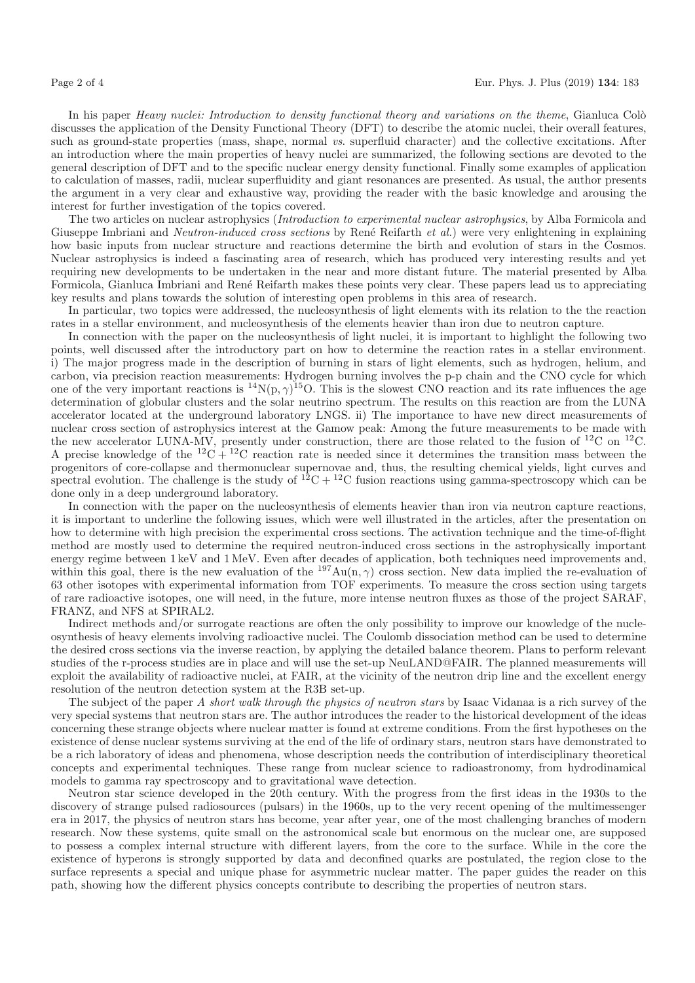In his paper Heavy nuclei: Introduction to density functional theory and variations on the theme, Gianluca Colò discusses the application of the Density Functional Theory (DFT) to describe the atomic nuclei, their overall features, such as ground-state properties (mass, shape, normal vs. superfluid character) and the collective excitations. After an introduction where the main properties of heavy nuclei are summarized, the following sections are devoted to the general description of DFT and to the specific nuclear energy density functional. Finally some examples of application to calculation of masses, radii, nuclear superfluidity and giant resonances are presented. As usual, the author presents the argument in a very clear and exhaustive way, providing the reader with the basic knowledge and arousing the interest for further investigation of the topics covered.

The two articles on nuclear astrophysics (Introduction to experimental nuclear astrophysics, by Alba Formicola and Giuseppe Imbriani and Neutron-induced cross sections by René Reifarth et al.) were very enlightening in explaining how basic inputs from nuclear structure and reactions determine the birth and evolution of stars in the Cosmos. Nuclear astrophysics is indeed a fascinating area of research, which has produced very interesting results and yet requiring new developments to be undertaken in the near and more distant future. The material presented by Alba Formicola, Gianluca Imbriani and René Reifarth makes these points very clear. These papers lead us to appreciating key results and plans towards the solution of interesting open problems in this area of research.

In particular, two topics were addressed, the nucleosynthesis of light elements with its relation to the the reaction rates in a stellar environment, and nucleosynthesis of the elements heavier than iron due to neutron capture.

In connection with the paper on the nucleosynthesis of light nuclei, it is important to highlight the following two points, well discussed after the introductory part on how to determine the reaction rates in a stellar environment. i) The major progress made in the description of burning in stars of light elements, such as hydrogen, helium, and carbon, via precision reaction measurements: Hydrogen burning involves the p-p chain and the CNO cycle for which one of the very important reactions is  ${}^{14}N(p,\gamma){}^{15}O$ . This is the slowest CNO reaction and its rate influences the age determination of globular clusters and the solar neutrino spectrum. The results on this reaction are from the LUNA accelerator located at the underground laboratory LNGS. ii) The importance to have new direct measurements of nuclear cross section of astrophysics interest at the Gamow peak: Among the future measurements to be made with the new accelerator LUNA-MV, presently under construction, there are those related to the fusion of  $^{12}$ C on  $^{12}$ C. A precise knowledge of the  ${}^{12}C + {}^{12}C$  reaction rate is needed since it determines the transition mass between the progenitors of core-collapse and thermonuclear supernovae and, thus, the resulting chemical yields, light curves and spectral evolution. The challenge is the study of  ${}^{12}C + {}^{12}C$  fusion reactions using gamma-spectroscopy which can be done only in a deep underground laboratory.

In connection with the paper on the nucleosynthesis of elements heavier than iron via neutron capture reactions, it is important to underline the following issues, which were well illustrated in the articles, after the presentation on how to determine with high precision the experimental cross sections. The activation technique and the time-of-flight method are mostly used to determine the required neutron-induced cross sections in the astrophysically important energy regime between 1keV and 1MeV. Even after decades of application, both techniques need improvements and, within this goal, there is the new evaluation of the <sup>197</sup>Au(n,  $\gamma$ ) cross section. New data implied the re-evaluation of 63 other isotopes with experimental information from TOF experiments. To measure the cross section using targets of rare radioactive isotopes, one will need, in the future, more intense neutron fluxes as those of the project SARAF, FRANZ, and NFS at SPIRAL2.

Indirect methods and/or surrogate reactions are often the only possibility to improve our knowledge of the nucleosynthesis of heavy elements involving radioactive nuclei. The Coulomb dissociation method can be used to determine the desired cross sections via the inverse reaction, by applying the detailed balance theorem. Plans to perform relevant studies of the r-process studies are in place and will use the set-up NeuLAND@FAIR. The planned measurements will exploit the availability of radioactive nuclei, at FAIR, at the vicinity of the neutron drip line and the excellent energy resolution of the neutron detection system at the R3B set-up.

The subject of the paper A short walk through the physics of neutron stars by Isaac Vidanaa is a rich survey of the very special systems that neutron stars are. The author introduces the reader to the historical development of the ideas concerning these strange objects where nuclear matter is found at extreme conditions. From the first hypotheses on the existence of dense nuclear systems surviving at the end of the life of ordinary stars, neutron stars have demonstrated to be a rich laboratory of ideas and phenomena, whose description needs the contribution of interdisciplinary theoretical concepts and experimental techniques. These range from nuclear science to radioastronomy, from hydrodinamical models to gamma ray spectroscopy and to gravitational wave detection.

Neutron star science developed in the 20th century. With the progress from the first ideas in the 1930s to the discovery of strange pulsed radiosources (pulsars) in the 1960s, up to the very recent opening of the multimessenger era in 2017, the physics of neutron stars has become, year after year, one of the most challenging branches of modern research. Now these systems, quite small on the astronomical scale but enormous on the nuclear one, are supposed to possess a complex internal structure with different layers, from the core to the surface. While in the core the existence of hyperons is strongly supported by data and deconfined quarks are postulated, the region close to the surface represents a special and unique phase for asymmetric nuclear matter. The paper guides the reader on this path, showing how the different physics concepts contribute to describing the properties of neutron stars.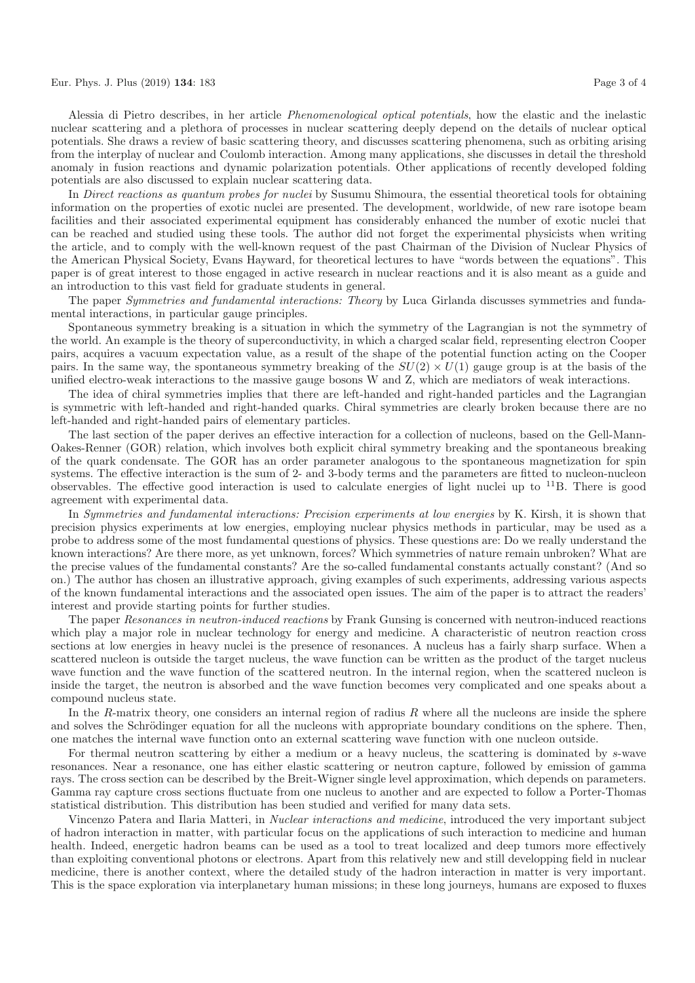## Eur. Phys. J. Plus (2019) **134**: 183 Page 3 of 4

Alessia di Pietro describes, in her article Phenomenological optical potentials, how the elastic and the inelastic nuclear scattering and a plethora of processes in nuclear scattering deeply depend on the details of nuclear optical potentials. She draws a review of basic scattering theory, and discusses scattering phenomena, such as orbiting arising from the interplay of nuclear and Coulomb interaction. Among many applications, she discusses in detail the threshold anomaly in fusion reactions and dynamic polarization potentials. Other applications of recently developed folding potentials are also discussed to explain nuclear scattering data.

In Direct reactions as quantum probes for nuclei by Susumu Shimoura, the essential theoretical tools for obtaining information on the properties of exotic nuclei are presented. The development, worldwide, of new rare isotope beam facilities and their associated experimental equipment has considerably enhanced the number of exotic nuclei that can be reached and studied using these tools. The author did not forget the experimental physicists when writing the article, and to comply with the well-known request of the past Chairman of the Division of Nuclear Physics of the American Physical Society, Evans Hayward, for theoretical lectures to have "words between the equations". This paper is of great interest to those engaged in active research in nuclear reactions and it is also meant as a guide and an introduction to this vast field for graduate students in general.

The paper Symmetries and fundamental interactions: Theory by Luca Girlanda discusses symmetries and fundamental interactions, in particular gauge principles.

Spontaneous symmetry breaking is a situation in which the symmetry of the Lagrangian is not the symmetry of the world. An example is the theory of superconductivity, in which a charged scalar field, representing electron Cooper pairs, acquires a vacuum expectation value, as a result of the shape of the potential function acting on the Cooper pairs. In the same way, the spontaneous symmetry breaking of the  $SU(2) \times U(1)$  gauge group is at the basis of the unified electro-weak interactions to the massive gauge bosons W and Z, which are mediators of weak interactions.

The idea of chiral symmetries implies that there are left-handed and right-handed particles and the Lagrangian is symmetric with left-handed and right-handed quarks. Chiral symmetries are clearly broken because there are no left-handed and right-handed pairs of elementary particles.

The last section of the paper derives an effective interaction for a collection of nucleons, based on the Gell-Mann-Oakes-Renner (GOR) relation, which involves both explicit chiral symmetry breaking and the spontaneous breaking of the quark condensate. The GOR has an order parameter analogous to the spontaneous magnetization for spin systems. The effective interaction is the sum of 2- and 3-body terms and the parameters are fitted to nucleon-nucleon observables. The effective good interaction is used to calculate energies of light nuclei up to <sup>11</sup>B. There is good agreement with experimental data.

In Symmetries and fundamental interactions: Precision experiments at low energies by K. Kirsh, it is shown that precision physics experiments at low energies, employing nuclear physics methods in particular, may be used as a probe to address some of the most fundamental questions of physics. These questions are: Do we really understand the known interactions? Are there more, as yet unknown, forces? Which symmetries of nature remain unbroken? What are the precise values of the fundamental constants? Are the so-called fundamental constants actually constant? (And so on.) The author has chosen an illustrative approach, giving examples of such experiments, addressing various aspects of the known fundamental interactions and the associated open issues. The aim of the paper is to attract the readers' interest and provide starting points for further studies.

The paper Resonances in neutron-induced reactions by Frank Gunsing is concerned with neutron-induced reactions which play a major role in nuclear technology for energy and medicine. A characteristic of neutron reaction cross sections at low energies in heavy nuclei is the presence of resonances. A nucleus has a fairly sharp surface. When a scattered nucleon is outside the target nucleus, the wave function can be written as the product of the target nucleus wave function and the wave function of the scattered neutron. In the internal region, when the scattered nucleon is inside the target, the neutron is absorbed and the wave function becomes very complicated and one speaks about a compound nucleus state.

In the R-matrix theory, one considers an internal region of radius  $R$  where all the nucleons are inside the sphere and solves the Schrödinger equation for all the nucleons with appropriate boundary conditions on the sphere. Then, one matches the internal wave function onto an external scattering wave function with one nucleon outside.

For thermal neutron scattering by either a medium or a heavy nucleus, the scattering is dominated by s-wave resonances. Near a resonance, one has either elastic scattering or neutron capture, followed by emission of gamma rays. The cross section can be described by the Breit-Wigner single level approximation, which depends on parameters. Gamma ray capture cross sections fluctuate from one nucleus to another and are expected to follow a Porter-Thomas statistical distribution. This distribution has been studied and verified for many data sets.

Vincenzo Patera and Ilaria Matteri, in Nuclear interactions and medicine, introduced the very important subject of hadron interaction in matter, with particular focus on the applications of such interaction to medicine and human health. Indeed, energetic hadron beams can be used as a tool to treat localized and deep tumors more effectively than exploiting conventional photons or electrons. Apart from this relatively new and still developping field in nuclear medicine, there is another context, where the detailed study of the hadron interaction in matter is very important. This is the space exploration via interplanetary human missions; in these long journeys, humans are exposed to fluxes